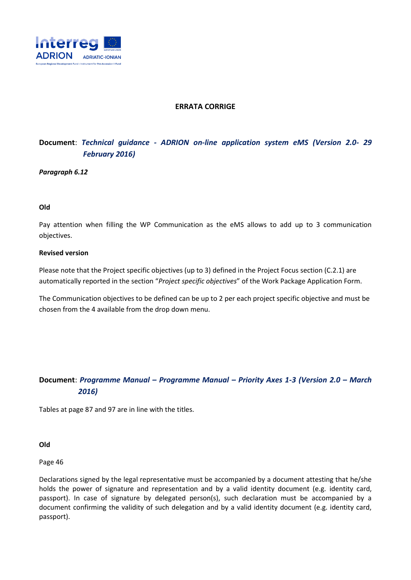

## **ERRATA CORRIGE**

# **Document**: *Technical guidance - ADRION on-line application system eMS (Version 2.0- 29 February 2016)*

*Paragraph 6.12*

### **Old**

Pay attention when filling the WP Communication as the eMS allows to add up to 3 communication objectives.

#### **Revised version**

Please note that the Project specific objectives (up to 3) defined in the Project Focus section (C.2.1) are automatically reported in the section "*Project specific objectives*" of the Work Package Application Form.

The Communication objectives to be defined can be up to 2 per each project specific objective and must be chosen from the 4 available from the drop down menu.

# **Document**: *Programme Manual – Programme Manual – Priority Axes 1-3 (Version 2.0 – March 2016)*

Tables at page 87 and 97 are in line with the titles.

**Old**

Page 46

Declarations signed by the legal representative must be accompanied by a document attesting that he/she holds the power of signature and representation and by a valid identity document (e.g. identity card, passport). In case of signature by delegated person(s), such declaration must be accompanied by a document confirming the validity of such delegation and by a valid identity document (e.g. identity card, passport).